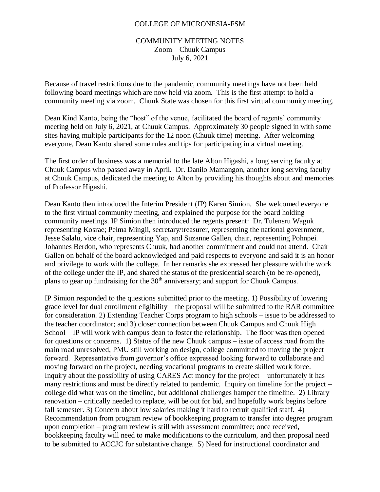## COLLEGE OF MICRONESIA-FSM

## COMMUNITY MEETING NOTES Zoom – Chuuk Campus July 6, 2021

Because of travel restrictions due to the pandemic, community meetings have not been held following board meetings which are now held via zoom. This is the first attempt to hold a community meeting via zoom. Chuuk State was chosen for this first virtual community meeting.

Dean Kind Kanto, being the "host" of the venue, facilitated the board of regents' community meeting held on July 6, 2021, at Chuuk Campus. Approximately 30 people signed in with some sites having multiple participants for the 12 noon (Chuuk time) meeting. After welcoming everyone, Dean Kanto shared some rules and tips for participating in a virtual meeting.

The first order of business was a memorial to the late Alton Higashi, a long serving faculty at Chuuk Campus who passed away in April. Dr. Danilo Mamangon, another long serving faculty at Chuuk Campus, dedicated the meeting to Alton by providing his thoughts about and memories of Professor Higashi.

Dean Kanto then introduced the Interim President (IP) Karen Simion. She welcomed everyone to the first virtual community meeting, and explained the purpose for the board holding community meetings. IP Simion then introduced the regents present: Dr. Tulensru Waguk representing Kosrae; Pelma Mingii, secretary/treasurer, representing the national government, Jesse Salalu, vice chair, representing Yap, and Suzanne Gallen, chair, representing Pohnpei. Johannes Berdon, who represents Chuuk, had another commitment and could not attend. Chair Gallen on behalf of the board acknowledged and paid respects to everyone and said it is an honor and privilege to work with the college. In her remarks she expressed her pleasure with the work of the college under the IP, and shared the status of the presidential search (to be re-opened), plans to gear up fundraising for the  $30<sup>th</sup>$  anniversary; and support for Chuuk Campus.

IP Simion responded to the questions submitted prior to the meeting. 1) Possibility of lowering grade level for dual enrollment eligibility – the proposal will be submitted to the RAR committee for consideration. 2) Extending Teacher Corps program to high schools – issue to be addressed to the teacher coordinator; and 3) closer connection between Chuuk Campus and Chuuk High School – IP will work with campus dean to foster the relationship. The floor was then opened for questions or concerns. 1) Status of the new Chuuk campus – issue of access road from the main road unresolved, PMU still working on design, college committed to moving the project forward. Representative from governor's office expressed looking forward to collaborate and moving forward on the project, needing vocational programs to create skilled work force. Inquiry about the possibility of using CARES Act money for the project – unfortunately it has many restrictions and must be directly related to pandemic. Inquiry on timeline for the project – college did what was on the timeline, but additional challenges hamper the timeline. 2) Library renovation – critically needed to replace, will be out for bid, and hopefully work begins before fall semester. 3) Concern about low salaries making it hard to recruit qualified staff. 4) Recommendation from program review of bookkeeping program to transfer into degree program upon completion – program review is still with assessment committee; once received, bookkeeping faculty will need to make modifications to the curriculum, and then proposal need to be submitted to ACCJC for substantive change. 5) Need for instructional coordinator and